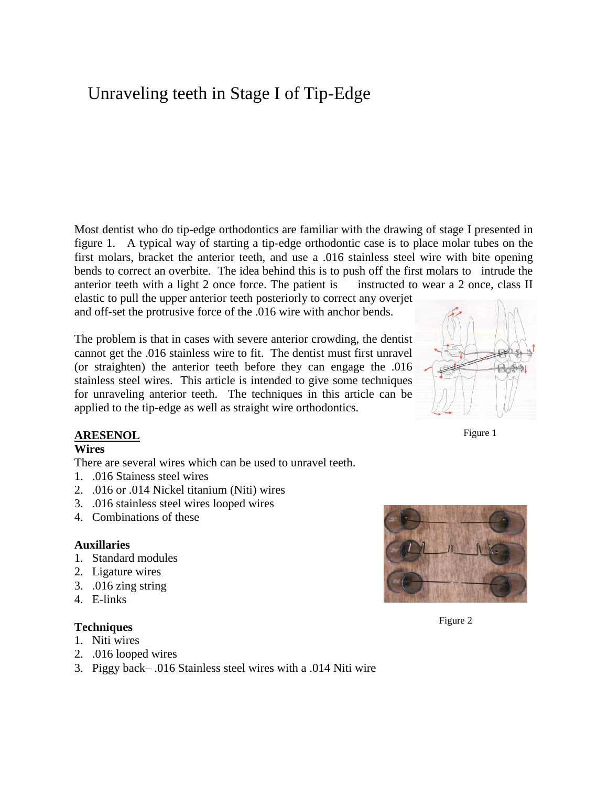# Unraveling teeth in Stage I of Tip-Edge

Most dentist who do tip-edge orthodontics are familiar with the drawing of stage I presented in figure 1. A typical way of starting a tip-edge orthodontic case is to place molar tubes on the first molars, bracket the anterior teeth, and use a .016 stainless steel wire with bite opening bends to correct an overbite. The idea behind this is to push off the first molars to intrude the anterior teeth with a light 2 once force. The patient is instructed to wear a 2 once, class II

elastic to pull the upper anterior teeth posteriorly to correct any overjet and off-set the protrusive force of the .016 wire with anchor bends.

The problem is that in cases with severe anterior crowding, the dentist cannot get the .016 stainless wire to fit. The dentist must first unravel (or straighten) the anterior teeth before they can engage the .016 stainless steel wires. This article is intended to give some techniques for unraveling anterior teeth. The techniques in this article can be applied to the tip-edge as well as straight wire orthodontics.



Figure 1

#### **ARESENOL**

#### **Wires**

There are several wires which can be used to unravel teeth.

- 1. .016 Stainess steel wires
- 2. .016 or .014 Nickel titanium (Niti) wires
- 3. .016 stainless steel wires looped wires
- 4. Combinations of these

#### **Auxillaries**

- 1. Standard modules
- 2. Ligature wires
- 3. .016 zing string
- 4. E-links

#### **Techniques**

- 1. Niti wires
- 2. .016 looped wires
- 3. Piggy back– .016 Stainless steel wires with a .014 Niti wire



Figure 2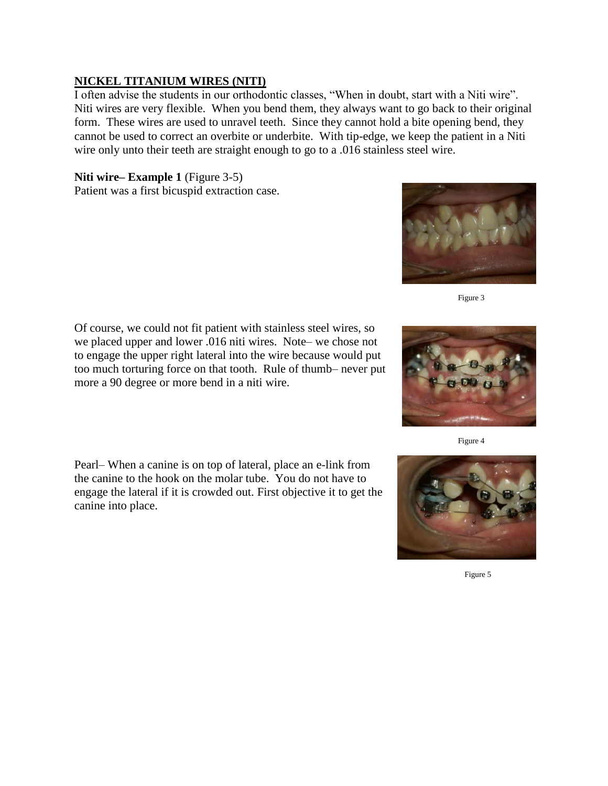## **NICKEL TITANIUM WIRES (NITI)**

I often advise the students in our orthodontic classes, "When in doubt, start with a Niti wire". Niti wires are very flexible. When you bend them, they always want to go back to their original form. These wires are used to unravel teeth. Since they cannot hold a bite opening bend, they cannot be used to correct an overbite or underbite. With tip-edge, we keep the patient in a Niti wire only unto their teeth are straight enough to go to a .016 stainless steel wire.

## **Niti wire– Example 1** (Figure 3-5)

Patient was a first bicuspid extraction case.



Figure 3

Of course, we could not fit patient with stainless steel wires, so we placed upper and lower .016 niti wires. Note– we chose not to engage the upper right lateral into the wire because would put too much torturing force on that tooth. Rule of thumb– never put more a 90 degree or more bend in a niti wire.

Pearl– When a canine is on top of lateral, place an e-link from the canine to the hook on the molar tube. You do not have to engage the lateral if it is crowded out. First objective it to get the canine into place.





Figure 5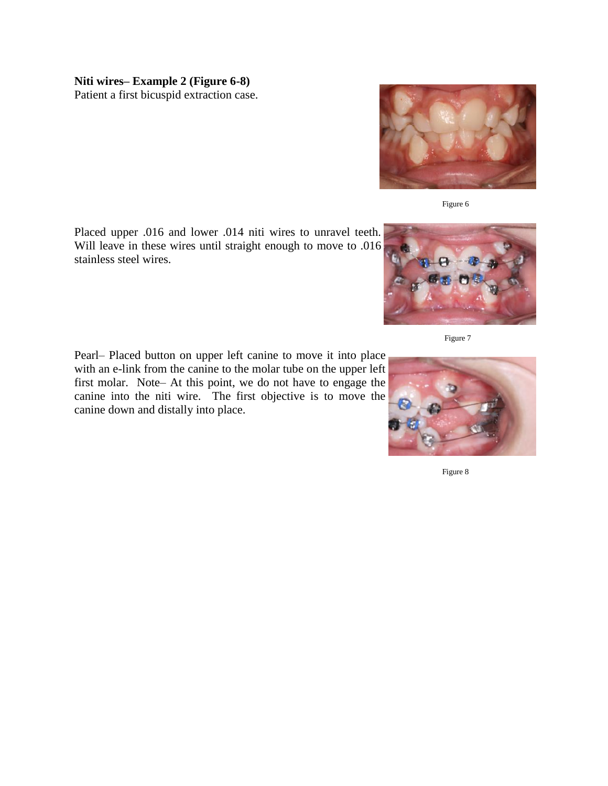## **Niti wires– Example 2 (Figure 6-8)**

Patient a first bicuspid extraction case.



Pearl– Placed button on upper left canine to move it into place with an e-link from the canine to the molar tube on the upper left first molar. Note– At this point, we do not have to engage the canine into the niti wire. The first objective is to move the canine down and distally into place.



Figure 6



Figure 7

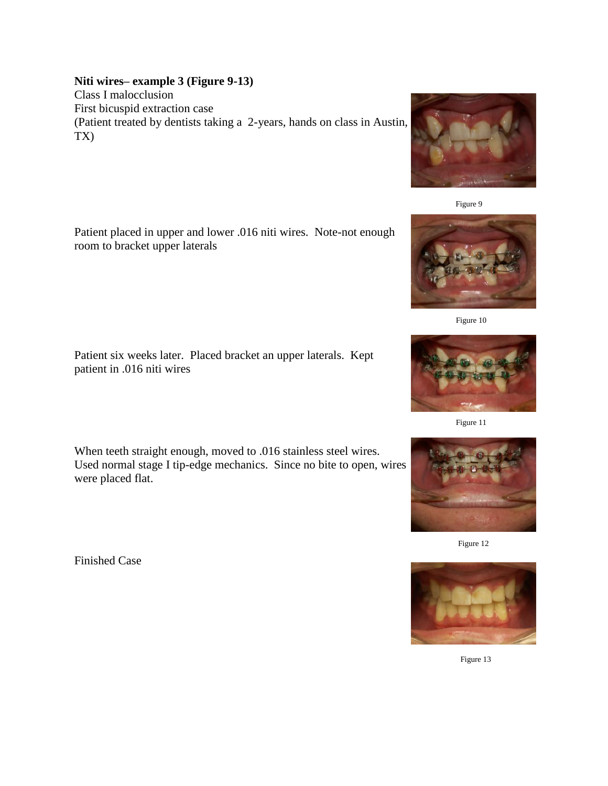## **Niti wires– example 3 (Figure 9-13)**

Class I malocclusion First bicuspid extraction case (Patient treated by dentists taking a 2-years, hands on class in Austin, TX)

Patient placed in upper and lower .016 niti wires. Note-not enough room to bracket upper laterals

Patient six weeks later. Placed bracket an upper laterals. Kept patient in .016 niti wires

When teeth straight enough, moved to .016 stainless steel wires. Used normal stage I tip-edge mechanics. Since no bite to open, wires were placed flat.

Finished Case











Figure 11



Figure 12



Figure 13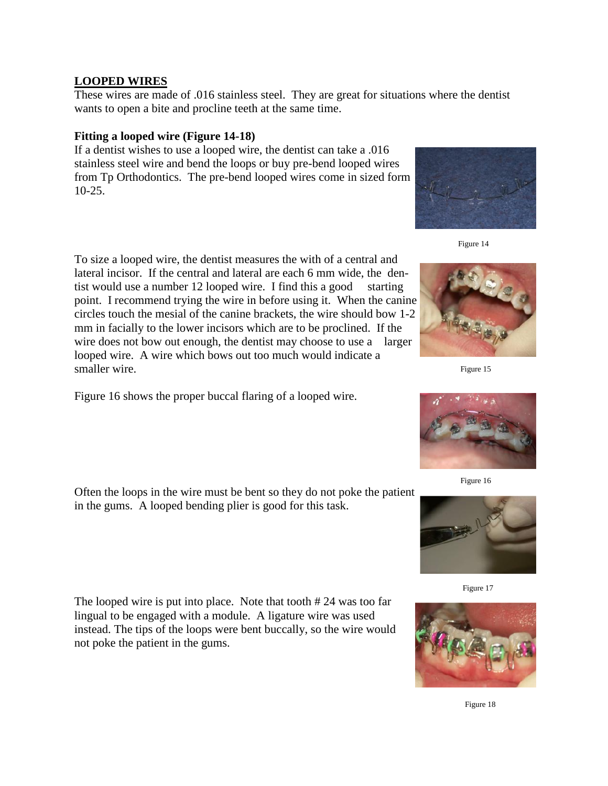## **LOOPED WIRES**

These wires are made of .016 stainless steel. They are great for situations where the dentist wants to open a bite and procline teeth at the same time.

#### **Fitting a looped wire (Figure 14-18)**

If a dentist wishes to use a looped wire, the dentist can take a .016 stainless steel wire and bend the loops or buy pre-bend looped wires from Tp Orthodontics. The pre-bend looped wires come in sized form 10-25.

To size a looped wire, the dentist measures the with of a central and lateral incisor. If the central and lateral are each 6 mm wide, the dentist would use a number 12 looped wire. I find this a good starting point. I recommend trying the wire in before using it. When the canine circles touch the mesial of the canine brackets, the wire should bow 1-2 mm in facially to the lower incisors which are to be proclined. If the wire does not bow out enough, the dentist may choose to use a larger looped wire. A wire which bows out too much would indicate a smaller wire.

Figure 16 shows the proper buccal flaring of a looped wire.

Often the loops in the wire must be bent so they do not poke the patient in the gums. A looped bending plier is good for this task.

The looped wire is put into place. Note that tooth # 24 was too far lingual to be engaged with a module. A ligature wire was used instead. The tips of the loops were bent buccally, so the wire would not poke the patient in the gums.



Figure 14



Figure 15



Figure 16





Figure 18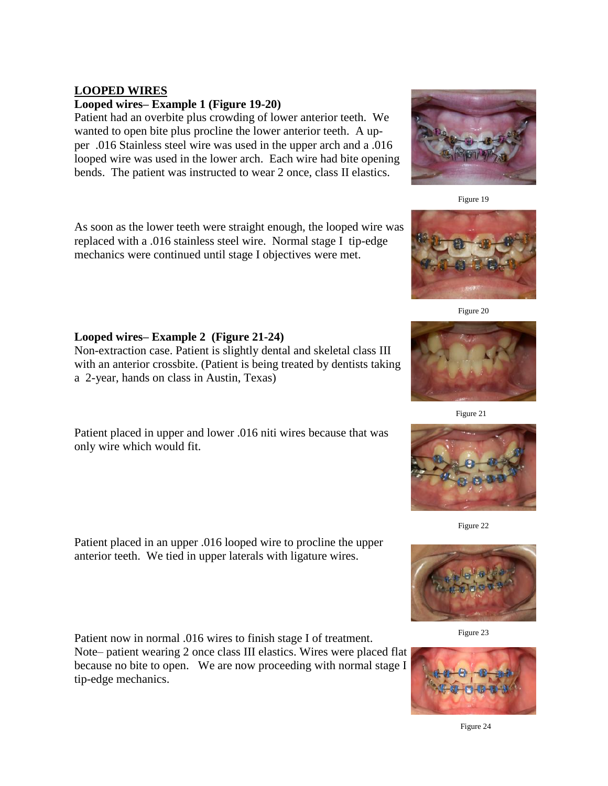## **LOOPED WIRES**

#### **Looped wires– Example 1 (Figure 19-20)**

Patient had an overbite plus crowding of lower anterior teeth. We wanted to open bite plus procline the lower anterior teeth. A upper .016 Stainless steel wire was used in the upper arch and a .016 looped wire was used in the lower arch. Each wire had bite opening bends. The patient was instructed to wear 2 once, class II elastics.

As soon as the lower teeth were straight enough, the looped wire was replaced with a .016 stainless steel wire. Normal stage I tip-edge mechanics were continued until stage I objectives were met.

## **Looped wires– Example 2 (Figure 21-24)**

Non-extraction case. Patient is slightly dental and skeletal class III with an anterior crossbite. (Patient is being treated by dentists taking a 2-year, hands on class in Austin, Texas)

Patient placed in upper and lower .016 niti wires because that was only wire which would fit.

Patient placed in an upper .016 looped wire to procline the upper anterior teeth. We tied in upper laterals with ligature wires.

Patient now in normal .016 wires to finish stage I of treatment. Note– patient wearing 2 once class III elastics. Wires were placed flat because no bite to open. We are now proceeding with normal stage I tip-edge mechanics.

Figure 19



Figure 21



Figure 22



Figure 23





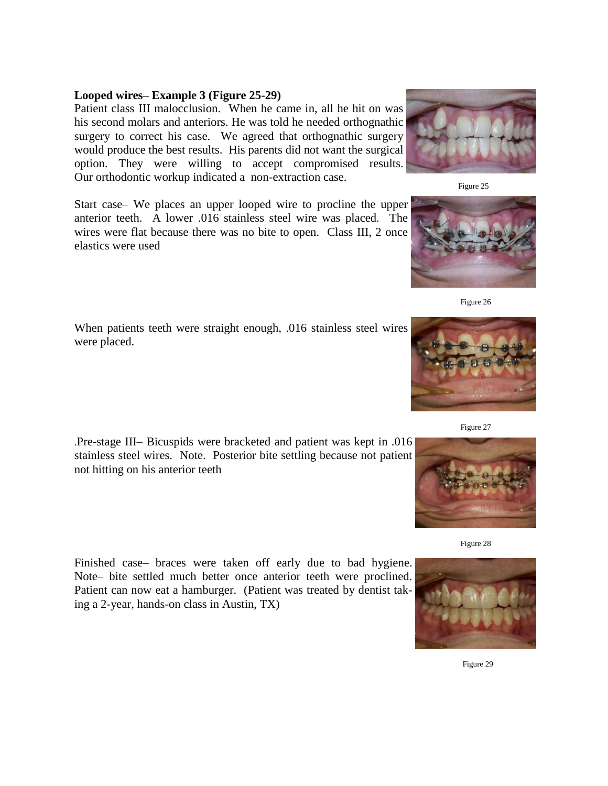#### **Looped wires– Example 3 (Figure 25-29)**

Patient class III malocclusion. When he came in, all he hit on was his second molars and anteriors. He was told he needed orthognathic surgery to correct his case. We agreed that orthognathic surgery would produce the best results. His parents did not want the surgical option. They were willing to accept compromised results. Our orthodontic workup indicated a non-extraction case.

Start case– We places an upper looped wire to procline the upper anterior teeth. A lower .016 stainless steel wire was placed. The wires were flat because there was no bite to open. Class III, 2 once elastics were used

When patients teeth were straight enough, .016 stainless steel wires were placed.

.Pre-stage III– Bicuspids were bracketed and patient was kept in .016 stainless steel wires. Note. Posterior bite settling because not patient not hitting on his anterior teeth

Finished case– braces were taken off early due to bad hygiene. Note– bite settled much better once anterior teeth were proclined. Patient can now eat a hamburger. (Patient was treated by dentist taking a 2-year, hands-on class in Austin, TX)







Figure 28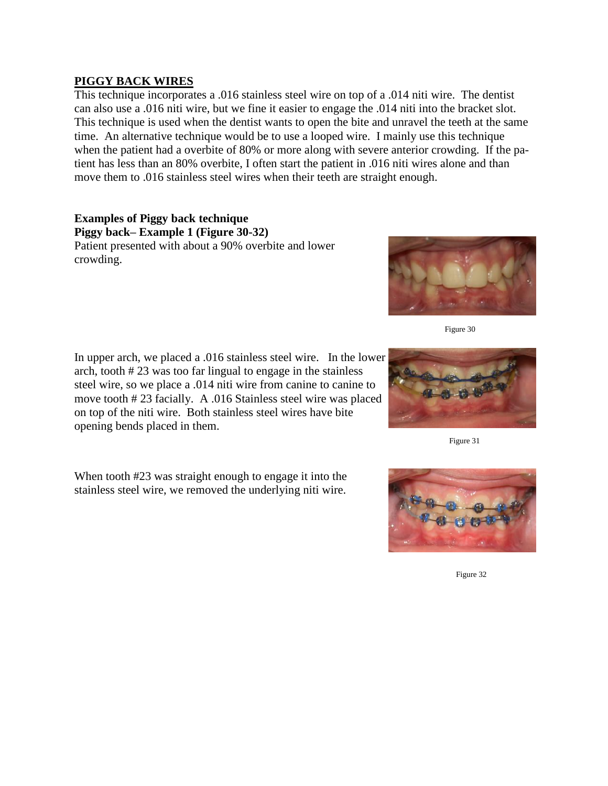## **PIGGY BACK WIRES**

This technique incorporates a .016 stainless steel wire on top of a .014 niti wire. The dentist can also use a .016 niti wire, but we fine it easier to engage the .014 niti into the bracket slot. This technique is used when the dentist wants to open the bite and unravel the teeth at the same time. An alternative technique would be to use a looped wire. I mainly use this technique when the patient had a overbite of 80% or more along with severe anterior crowding. If the patient has less than an 80% overbite, I often start the patient in .016 niti wires alone and than move them to .016 stainless steel wires when their teeth are straight enough.

#### **Examples of Piggy back technique Piggy back– Example 1 (Figure 30-32)** Patient presented with about a 90% overbite and lower crowding.

In upper arch, we placed a .016 stainless steel wire. In the lower arch, tooth # 23 was too far lingual to engage in the stainless steel wire, so we place a .014 niti wire from canine to canine to move tooth # 23 facially. A .016 Stainless steel wire was placed on top of the niti wire. Both stainless steel wires have bite opening bends placed in them.

When tooth #23 was straight enough to engage it into the stainless steel wire, we removed the underlying niti wire.





Figure 32

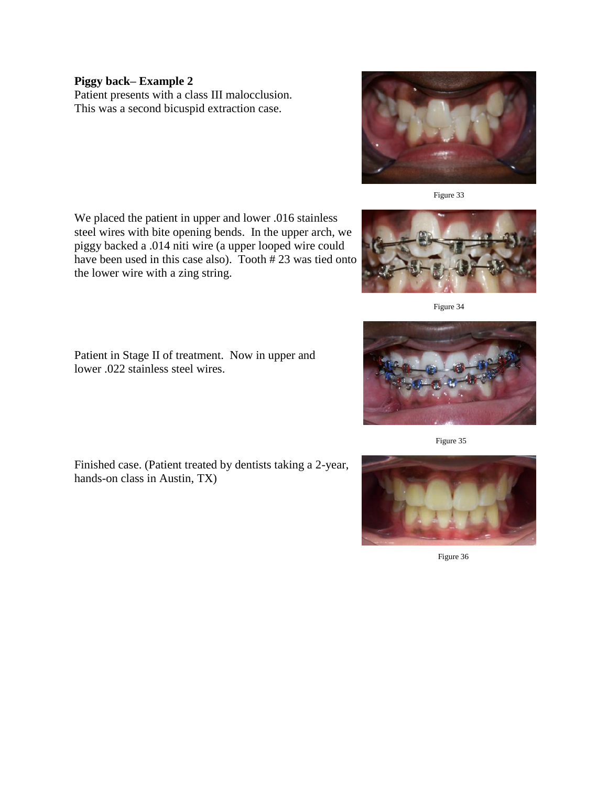#### **Piggy back– Example 2**

Patient presents with a class III malocclusion. This was a second bicuspid extraction case.



Figure 33

We placed the patient in upper and lower .016 stainless steel wires with bite opening bends. In the upper arch, we piggy backed a .014 niti wire (a upper looped wire could have been used in this case also). Tooth # 23 was tied onto the lower wire with a zing string.



Figure 34

Patient in Stage II of treatment. Now in upper and lower .022 stainless steel wires.

Finished case. (Patient treated by dentists taking a 2-year, hands-on class in Austin, TX)



Figure 35